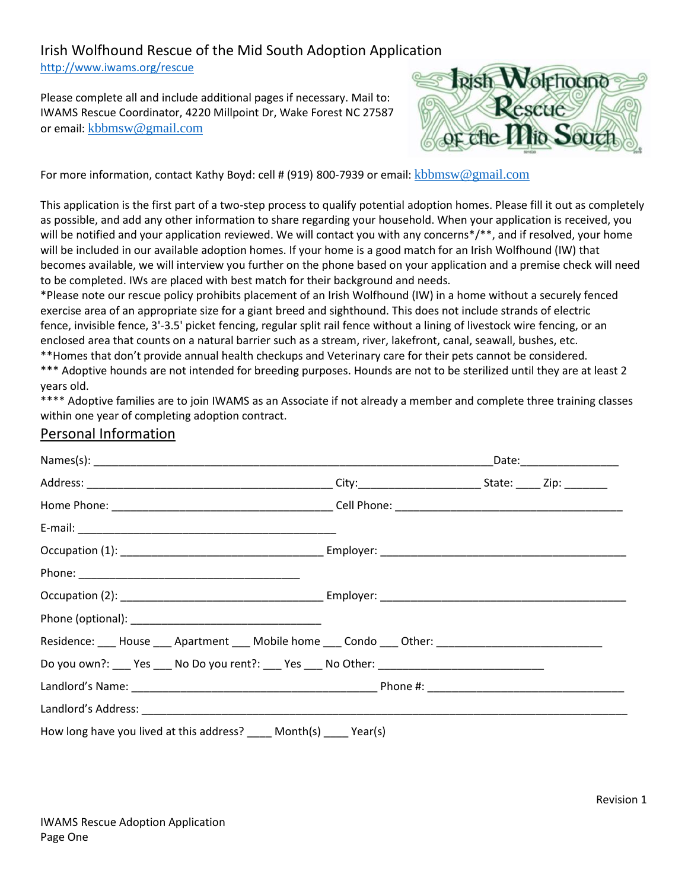## Irish Wolfhound Rescue of the Mid South Adoption Application

http://www.iwams.org/rescue

Please complete all and include additional pages if necessary. Mail to: IWAMS Rescue Coordinator, 4220 Millpoint Dr, Wake Forest NC 27587 or email: kbbmsw@gmail.com



For more information, contact Kathy Boyd: cell # (919) 800-7939 or email: kbbmsw@gmail.com

This application is the first part of a two-step process to qualify potential adoption homes. Please fill it out as completely as possible, and add any other information to share regarding your household. When your application is received, you will be notified and your application reviewed. We will contact you with any concerns\*/\*\*, and if resolved, your home will be included in our available adoption homes. If your home is a good match for an Irish Wolfhound (IW) that becomes available, we will interview you further on the phone based on your application and a premise check will need to be completed. IWs are placed with best match for their background and needs.

\*Please note our rescue policy prohibits placement of an Irish Wolfhound (IW) in a home without a securely fenced exercise area of an appropriate size for a giant breed and sighthound. This does not include strands of electric fence, invisible fence, 3'-3.5' picket fencing, regular split rail fence without a lining of livestock wire fencing, or an enclosed area that counts on a natural barrier such as a stream, river, lakefront, canal, seawall, bushes, etc.

\*\*Homes that don't provide annual health checkups and Veterinary care for their pets cannot be considered. \*\*\* Adoptive hounds are not intended for breeding purposes. Hounds are not to be sterilized until they are at least 2 years old.

\*\*\*\* Adoptive families are to join IWAMS as an Associate if not already a member and complete three training classes within one year of completing adoption contract.

## Personal Information

|                                                                                                      |  | Date:___________________ |
|------------------------------------------------------------------------------------------------------|--|--------------------------|
|                                                                                                      |  |                          |
|                                                                                                      |  |                          |
|                                                                                                      |  |                          |
|                                                                                                      |  |                          |
|                                                                                                      |  |                          |
|                                                                                                      |  |                          |
|                                                                                                      |  |                          |
| Residence: ____ House ____ Apartment ____ Mobile home ____ Condo ____ Other: _______________________ |  |                          |
| Do you own?: ___ Yes ___ No Do you rent?: ___ Yes ___ No Other: ___________________________________  |  |                          |
|                                                                                                      |  |                          |
|                                                                                                      |  |                          |
| How long have you lived at this address? ____ Month(s) ____ Year(s)                                  |  |                          |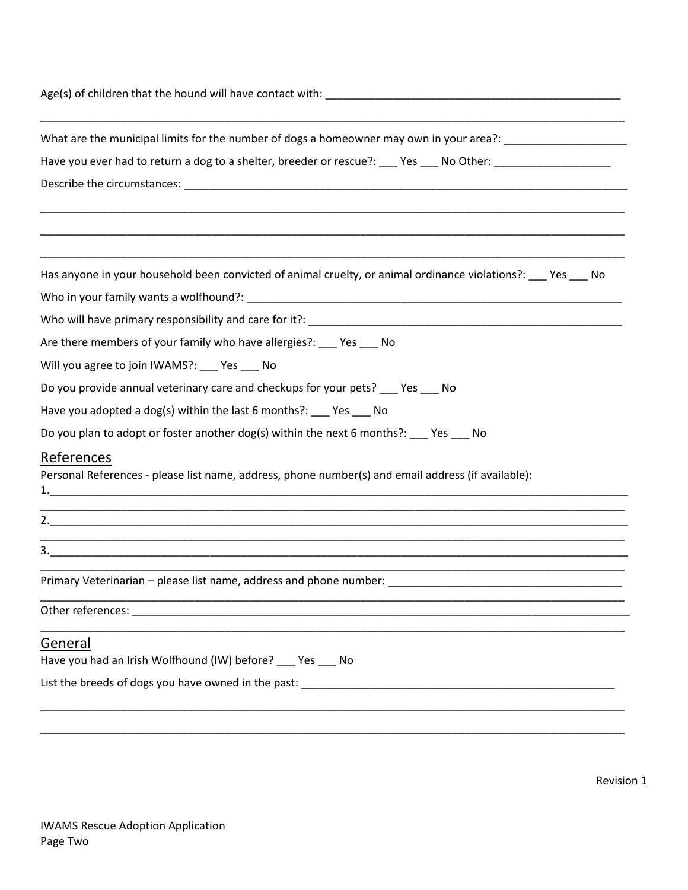| What are the municipal limits for the number of dogs a homeowner may own in your area?: ______________________ |  |  |  |  |
|----------------------------------------------------------------------------------------------------------------|--|--|--|--|
| Have you ever had to return a dog to a shelter, breeder or rescue?: ___ Yes ___ No Other: ________________     |  |  |  |  |
|                                                                                                                |  |  |  |  |
|                                                                                                                |  |  |  |  |
|                                                                                                                |  |  |  |  |
| Has anyone in your household been convicted of animal cruelty, or animal ordinance violations?: ___ Yes ___ No |  |  |  |  |
|                                                                                                                |  |  |  |  |
|                                                                                                                |  |  |  |  |
| Are there members of your family who have allergies?: ___ Yes ___ No                                           |  |  |  |  |
| Will you agree to join IWAMS?: ___ Yes ___ No                                                                  |  |  |  |  |
| Do you provide annual veterinary care and checkups for your pets? Yes No                                       |  |  |  |  |
| Have you adopted a dog(s) within the last 6 months?: ___ Yes ___ No                                            |  |  |  |  |
| Do you plan to adopt or foster another dog(s) within the next 6 months?: Pes No                                |  |  |  |  |
| References                                                                                                     |  |  |  |  |
| Personal References - please list name, address, phone number(s) and email address (if available):             |  |  |  |  |
|                                                                                                                |  |  |  |  |
|                                                                                                                |  |  |  |  |
| Primary Veterinarian - please list name, address and phone number:                                             |  |  |  |  |
|                                                                                                                |  |  |  |  |
| General                                                                                                        |  |  |  |  |
| Have you had an Irish Wolfhound (IW) before? ___ Yes ___ No                                                    |  |  |  |  |
|                                                                                                                |  |  |  |  |